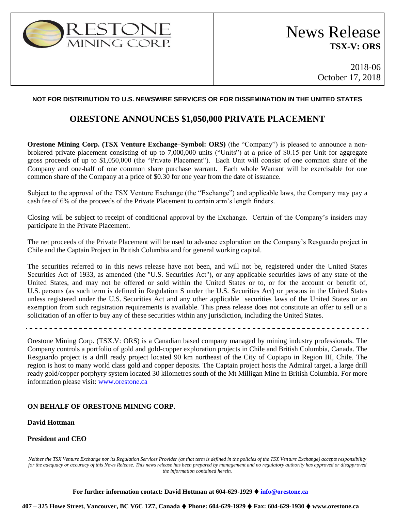

2018-06 October 17, 2018

#### **NOT FOR DISTRIBUTION TO U.S. NEWSWIRE SERVICES OR FOR DISSEMINATION IN THE UNITED STATES**

## **ORESTONE ANNOUNCES \$1,050,000 PRIVATE PLACEMENT**

**Orestone Mining Corp. (TSX Venture Exchange–Symbol: ORS)** (the "Company") is pleased to announce a nonbrokered private placement consisting of up to 7,000,000 units ("Units") at a price of \$0.15 per Unit for aggregate gross proceeds of up to \$1,050,000 (the "Private Placement"). Each Unit will consist of one common share of the Company and one-half of one common share purchase warrant. Each whole Warrant will be exercisable for one common share of the Company at a price of \$0.30 for one year from the date of issuance.

Subject to the approval of the TSX Venture Exchange (the "Exchange") and applicable laws, the Company may pay a cash fee of 6% of the proceeds of the Private Placement to certain arm's length finders.

Closing will be subject to receipt of conditional approval by the Exchange. Certain of the Company's insiders may participate in the Private Placement.

The net proceeds of the Private Placement will be used to advance exploration on the Company's Resguardo project in Chile and the Captain Project in British Columbia and for general working capital.

The securities referred to in this news release have not been, and will not be, registered under the United States Securities Act of 1933, as amended (the "U.S. Securities Act"), or any applicable securities laws of any state of the United States, and may not be offered or sold within the United States or to, or for the account or benefit of, U.S. persons (as such term is defined in Regulation S under the U.S. Securities Act) or persons in the United States unless registered under the U.S. Securities Act and any other applicable securities laws of the United States or an exemption from such registration requirements is available. This press release does not constitute an offer to sell or a solicitation of an offer to buy any of these securities within any jurisdiction, including the United States.

Orestone Mining Corp. (TSX.V: ORS) is a Canadian based company managed by mining industry professionals. The Company controls a portfolio of gold and gold-copper exploration projects in Chile and British Columbia, Canada. The Resguardo project is a drill ready project located 90 km northeast of the City of Copiapo in Region III, Chile. The region is host to many world class gold and copper deposits. The Captain project hosts the Admiral target, a large drill ready gold/copper porphyry system located 30 kilometres south of the Mt Milligan Mine in British Columbia. For more information please visit: [www.orestone.ca](http://www.orestone.ca/)

#### **ON BEHALF OF ORESTONE MINING CORP.**

#### **David Hottman**

### **President and CEO**

*Neither the TSX Venture Exchange nor its Regulation Services Provider (as that term is defined in the policies of the TSX Venture Exchange) accepts responsibility for the adequacy or accuracy of this News Release. This news release has been prepared by management and no regulatory authority has approved or disapproved the information contained herein.*

**For further information contact: David Hottman at 604-629-1929 info@orestone.ca**